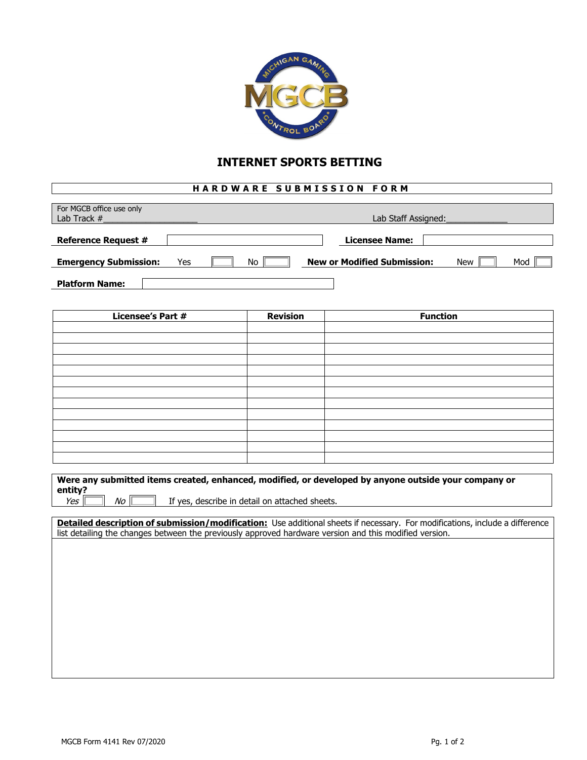

## **INTERNET SPORTS BETTING**

## **HARDWARE SUBMISSION FORM**

| For MGCB office use only<br>Lab Track # |     |    | Lab Staff Assigned:                |  |            |     |  |
|-----------------------------------------|-----|----|------------------------------------|--|------------|-----|--|
| <b>Reference Request #</b>              |     |    | Licensee Name:                     |  |            |     |  |
| <b>Emergency Submission:</b>            | Yes | No | <b>New or Modified Submission:</b> |  | <b>New</b> | Mod |  |
| <b>Platform Name:</b>                   |     |    |                                    |  |            |     |  |

| <b>Licensee's Part #</b> | <b>Revision</b> | <b>Function</b> |
|--------------------------|-----------------|-----------------|
|                          |                 |                 |
|                          |                 |                 |
|                          |                 |                 |
|                          |                 |                 |
|                          |                 |                 |
|                          |                 |                 |
|                          |                 |                 |
|                          |                 |                 |
|                          |                 |                 |
|                          |                 |                 |
|                          |                 |                 |
|                          |                 |                 |
|                          |                 |                 |

| Were any submitted items created, enhanced, modified, or developed by anyone outside your company or |                                                |  |  |  |  |  |
|------------------------------------------------------------------------------------------------------|------------------------------------------------|--|--|--|--|--|
| entity?                                                                                              |                                                |  |  |  |  |  |
| Yes<br>No                                                                                            | If yes, describe in detail on attached sheets. |  |  |  |  |  |

**Detailed description of submission/modification:** Use additional sheets if necessary. For modifications, include a difference list detailing the changes between the previously approved hardware version and this modified version.